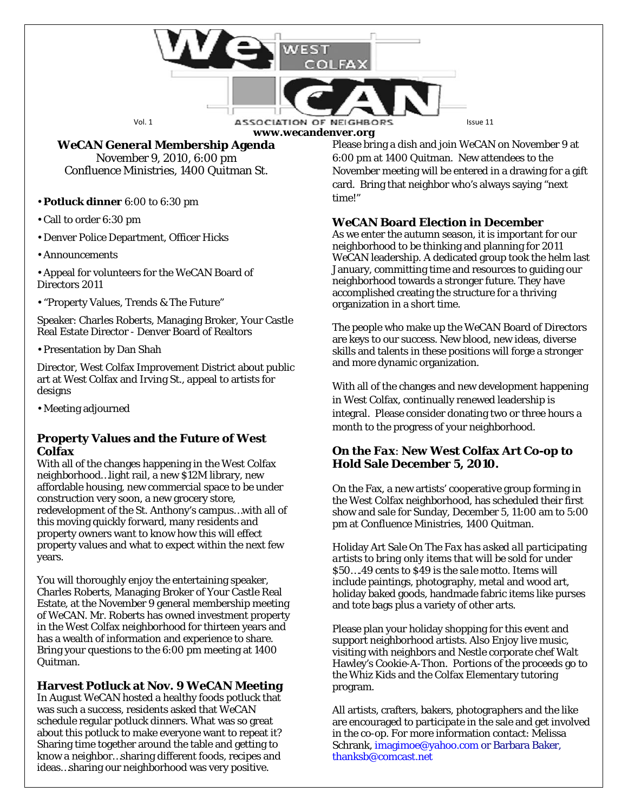

**www.wecandenver.org**

## *WeCAN* **General Membership Agenda**

November 9, 2010, 6:00 pm Confluence Ministries, 1400 Quitman St.

• **Potluck dinner** 6:00 to 6:30 pm

• Call to order 6:30 pm

• Denver Police Department, Officer Hicks

• Announcements

• Appeal for volunteers for the WeCAN Board of Directors 2011

• "Property Values, Trends & The Future"

Speaker: Charles Roberts, Managing Broker, Your Castle Real Estate Director - Denver Board of Realtors

• Presentation by Dan Shah

Director, West Colfax Improvement District about public art at West Colfax and Irving St., appeal to artists for designs

• Meeting adjourned

#### **Property Values and the Future of West Colfax**

With all of the changes happening in the West Colfax neighborhood…light rail, a new \$12M library, new affordable housing, new commercial space to be under construction very soon, a new grocery store, redevelopment of the St. Anthony's campus…with all of this moving quickly forward, many residents and property owners want to know how this will effect property values and what to expect within the next few years.

You will thoroughly enjoy the entertaining speaker, Charles Roberts, Managing Broker of Your Castle Real Estate, at the November 9 general membership meeting of WeCAN. Mr. Roberts has owned investment property in the West Colfax neighborhood for thirteen years and has a wealth of information and experience to share. Bring your questions to the 6:00 pm meeting at 1400 Quitman.

## **Harvest Potluck at Nov. 9 WeCAN Meeting**

In August WeCAN hosted a healthy foods potluck that was such a success, residents asked that WeCAN schedule regular potluck dinners. What was so great about this potluck to make everyone want to repeat it? Sharing time together around the table and getting to know a neighbor…sharing different foods, recipes and ideas…sharing our neighborhood was very positive.

Please bring a dish and join WeCAN on November 9 at 6:00 pm at 1400 Quitman. New attendees to the November meeting will be entered in a drawing for a gift card. Bring that neighbor who's always saying "next time!"

# *WeCAN* **Board Election in December**

As we enter the autumn season, it is important for our neighborhood to be thinking and planning for 2011 WeCAN leadership. A dedicated group took the helm last January, committing time and resources to guiding our neighborhood towards a stronger future. They have accomplished creating the structure for a thriving organization in a short time.

The people who make up the WeCAN Board of Directors are keys to our success. New blood, new ideas, diverse skills and talents in these positions will forge a stronger and more dynamic organization.

With all of the changes and new development happening in West Colfax, continually renewed leadership is integral. Please consider donating two or three hours a month to the progress of your neighborhood.

### *On the Fax*: **New West Colfax Art Co-op to Hold Sale December 5, 2010.**

On the Fax, a new artists' cooperative group forming in the West Colfax neighborhood, has scheduled their first show and sale for Sunday, December 5, 11:00 am to 5:00 pm at Confluence Ministries, 1400 Quitman.

Holiday Art Sale *On The Fax has asked all participating artists to bring only items that will be sold for under \$50….49 cents to \$49 is the sale motto.* Items will include paintings, photography, metal and wood art, holiday baked goods, handmade fabric items like purses and tote bags plus a variety of other arts.

Please plan your holiday shopping for this event and support neighborhood artists. Also Enjoy live music, visiting with neighbors and Nestle corporate chef Walt Hawley's Cookie-A-Thon. Portions of the proceeds go to the Whiz Kids and the Colfax Elementary tutoring program.

All artists, crafters, bakers, photographers and the like are encouraged to participate in the sale and get involved in the co-op. For more information contact: Melissa Schrank, imagimoe@yahoo.com or Barbara Baker, thanksb@comcast.net